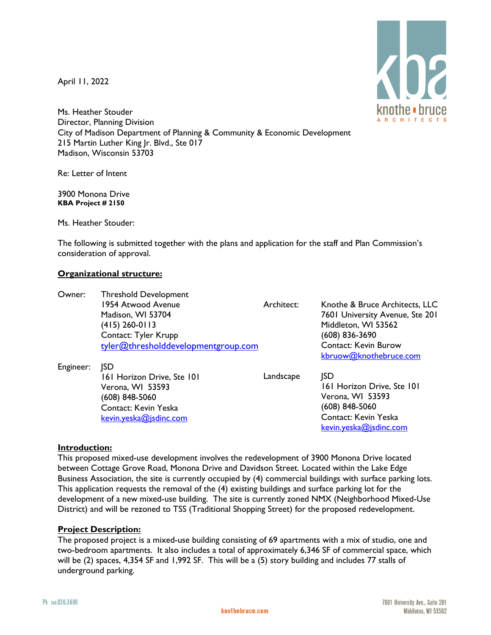April 11, 2022



Ms. Heather Stouder Director, Planning Division City of Madison Department of Planning & Community & Economic Development 215 Martin Luther King Jr. Blvd., Ste 017 Madison, Wisconsin 53703

Re: Letter of Intent

3900 Monona Drive **KBA Project # 2150**

Ms. Heather Stouder:

The following is submitted together with the plans and application for the staff and Plan Commission's consideration of approval.

## **Organizational structure:**

| Owner:    | <b>Threshold Development</b>        |            |                                 |
|-----------|-------------------------------------|------------|---------------------------------|
|           | 1954 Atwood Avenue                  | Architect: | Knothe & Bruce Architects, LLC  |
|           | Madison, WI 53704                   |            | 7601 University Avenue, Ste 201 |
|           | (415) 260-0113                      |            | Middleton, WI 53562             |
|           | Contact: Tyler Krupp                |            | (608) 836-3690                  |
|           | tyler@thresholddevelopmentgroup.com |            | <b>Contact: Kevin Burow</b>     |
|           |                                     |            | kbruow@knothebruce.com          |
| Engineer: | <b>ISD</b>                          |            |                                 |
|           | 161 Horizon Drive, Ste 101          | Landscape  | <b>JSD</b>                      |
|           | Verona, WI 53593                    |            | 161 Horizon Drive, Ste 101      |
|           | (608) 848-5060                      |            | Verona, WI 53593                |
|           | Contact: Kevin Yeska                |            | (608) 848-5060                  |
|           | kevin.yeska@jsdinc.com              |            | Contact: Kevin Yeska            |
|           |                                     |            | kevin.yeska@jsdinc.com          |

## **Introduction:**

This proposed mixed-use development involves the redevelopment of 3900 Monona Drive located between Cottage Grove Road, Monona Drive and Davidson Street. Located within the Lake Edge Business Association, the site is currently occupied by (4) commercial buildings with surface parking lots. This application requests the removal of the (4) existing buildings and surface parking lot for the development of a new mixed-use building. The site is currently zoned NMX (Neighborhood Mixed-Use District) and will be rezoned to TSS (Traditional Shopping Street) for the proposed redevelopment.

## **Project Description:**

The proposed project is a mixed-use building consisting of 69 apartments with a mix of studio, one and two-bedroom apartments. It also includes a total of approximately 6,346 SF of commercial space, which will be (2) spaces, 4,354 SF and 1,992 SF. This will be a (5) story building and includes 77 stalls of underground parking.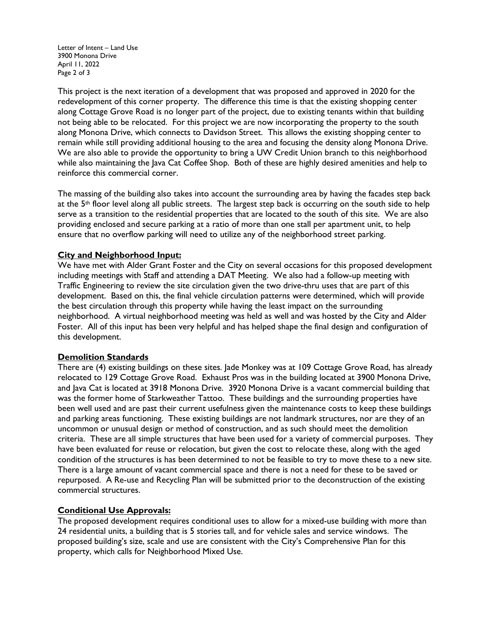Letter of Intent – Land Use 3900 Monona Drive April 11, 2022 Page 2 of 3

This project is the next iteration of a development that was proposed and approved in 2020 for the redevelopment of this corner property. The difference this time is that the existing shopping center along Cottage Grove Road is no longer part of the project, due to existing tenants within that building not being able to be relocated. For this project we are now incorporating the property to the south along Monona Drive, which connects to Davidson Street. This allows the existing shopping center to remain while still providing additional housing to the area and focusing the density along Monona Drive. We are also able to provide the opportunity to bring a UW Credit Union branch to this neighborhood while also maintaining the Java Cat Coffee Shop. Both of these are highly desired amenities and help to reinforce this commercial corner.

The massing of the building also takes into account the surrounding area by having the facades step back at the  $5<sup>th</sup>$  floor level along all public streets. The largest step back is occurring on the south side to help serve as a transition to the residential properties that are located to the south of this site. We are also providing enclosed and secure parking at a ratio of more than one stall per apartment unit, to help ensure that no overflow parking will need to utilize any of the neighborhood street parking.

## **City and Neighborhood Input:**

We have met with Alder Grant Foster and the City on several occasions for this proposed development including meetings with Staff and attending a DAT Meeting. We also had a follow-up meeting with Traffic Engineering to review the site circulation given the two drive-thru uses that are part of this development. Based on this, the final vehicle circulation patterns were determined, which will provide the best circulation through this property while having the least impact on the surrounding neighborhood. A virtual neighborhood meeting was held as well and was hosted by the City and Alder Foster. All of this input has been very helpful and has helped shape the final design and configuration of this development.

#### **Demolition Standards**

There are (4) existing buildings on these sites. Jade Monkey was at 109 Cottage Grove Road, has already relocated to 129 Cottage Grove Road. Exhaust Pros was in the building located at 3900 Monona Drive, and Java Cat is located at 3918 Monona Drive. 3920 Monona Drive is a vacant commercial building that was the former home of Starkweather Tattoo. These buildings and the surrounding properties have been well used and are past their current usefulness given the maintenance costs to keep these buildings and parking areas functioning. These existing buildings are not landmark structures, nor are they of an uncommon or unusual design or method of construction, and as such should meet the demolition criteria. These are all simple structures that have been used for a variety of commercial purposes. They have been evaluated for reuse or relocation, but given the cost to relocate these, along with the aged condition of the structures is has been determined to not be feasible to try to move these to a new site. There is a large amount of vacant commercial space and there is not a need for these to be saved or repurposed. A Re-use and Recycling Plan will be submitted prior to the deconstruction of the existing commercial structures.

#### **Conditional Use Approvals:**

The proposed development requires conditional uses to allow for a mixed-use building with more than 24 residential units, a building that is 5 stories tall, and for vehicle sales and service windows. The proposed building's size, scale and use are consistent with the City's Comprehensive Plan for this property, which calls for Neighborhood Mixed Use.